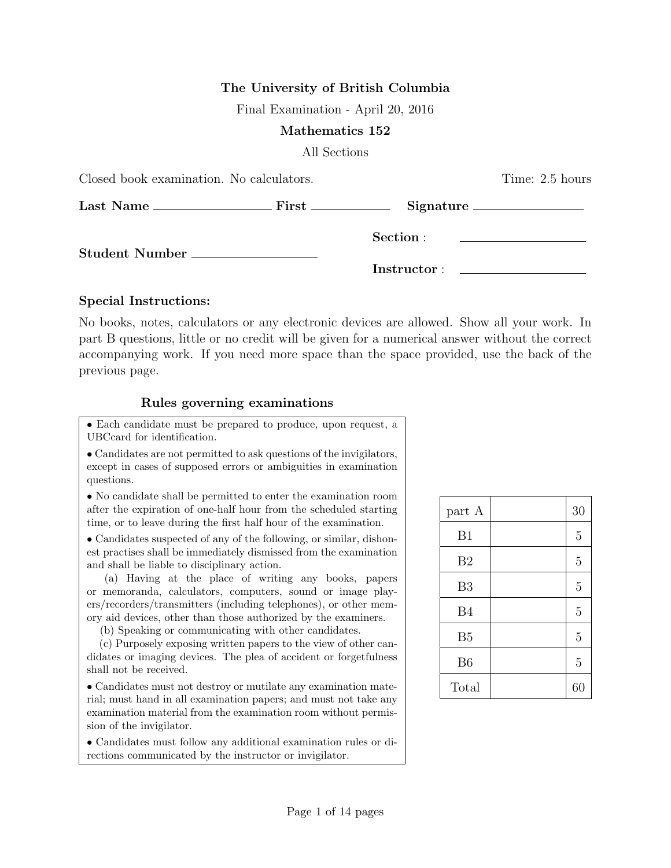### The University of British Columbia

Final Examination - April 20, 2016

#### Mathematics 152

All Sections

| Closed book examination. No calculators. | Time: 2.5 hours |                                      |
|------------------------------------------|-----------------|--------------------------------------|
|                                          |                 | $Signature \_\_\_\_\_\_\_\_\_\_\_\_$ |
|                                          |                 |                                      |
|                                          |                 |                                      |

#### Special Instructions:

No books, notes, calculators or any electronic devices are allowed. Show all your work. In part B questions, little or no credit will be given for a numerical answer without the correct accompanying work. If you need more space than the space provided, use the back of the previous page.

#### Rules governing examinations

• Each candidate must be prepared to produce, upon request, a UBCcard for identification.

• Candidates are not permitted to ask questions of the invigilators, except in cases of supposed errors or ambiguities in examination questions.

• No candidate shall be permitted to enter the examination room after the expiration of one-half hour from the scheduled starting time, or to leave during the first half hour of the examination.

• Candidates suspected of any of the following, or similar, dishonest practises shall be immediately dismissed from the examination and shall be liable to disciplinary action.

(a) Having at the place of writing any books, papers or memoranda, calculators, computers, sound or image players/recorders/transmitters (including telephones), or other memory aid devices, other than those authorized by the examiners.

(b) Speaking or communicating with other candidates.

(c) Purposely exposing written papers to the view of other candidates or imaging devices. The plea of accident or forgetfulness shall not be received.

• Candidates must not destroy or mutilate any examination material; must hand in all examination papers; and must not take any examination material from the examination room without permission of the invigilator.

• Candidates must follow any additional examination rules or directions communicated by the instructor or invigilator.

| part A         | 30             |
|----------------|----------------|
| B1             | 5              |
| B <sub>2</sub> | $\overline{5}$ |
| B <sub>3</sub> | 5              |
| <b>B4</b>      | 5              |
| B <sub>5</sub> | 5              |
| B <sub>6</sub> | 5              |
| Total          | 60             |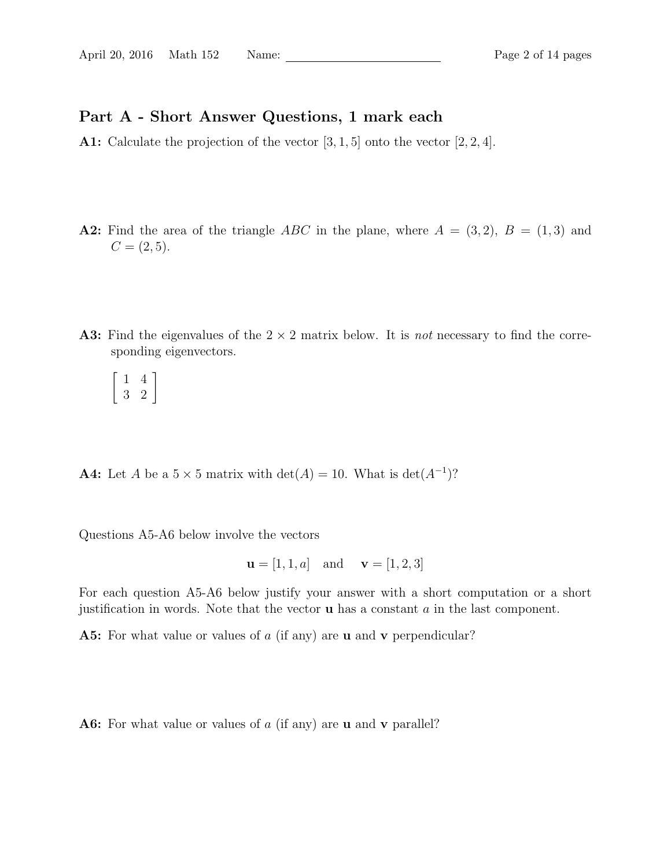## Part A - Short Answer Questions, 1 mark each

A1: Calculate the projection of the vector  $[3, 1, 5]$  onto the vector  $[2, 2, 4]$ .

- A2: Find the area of the triangle ABC in the plane, where  $A = (3, 2), B = (1, 3)$  and  $C = (2, 5).$
- A3: Find the eigenvalues of the  $2 \times 2$  matrix below. It is *not* necessary to find the corresponding eigenvectors.

 $\left[\begin{array}{cc} 1 & 4 \\ 3 & 2 \end{array}\right]$ 

**A4:** Let A be a  $5 \times 5$  matrix with  $\det(A) = 10$ . What is  $\det(A^{-1})$ ?

Questions A5-A6 below involve the vectors

$$
u = [1, 1, a]
$$
 and  $v = [1, 2, 3]$ 

For each question A5-A6 below justify your answer with a short computation or a short justification in words. Note that the vector  $\bf{u}$  has a constant  $\alpha$  in the last component.

A5: For what value or values of a (if any) are **u** and **v** perpendicular?

A6: For what value or values of a (if any) are **u** and **v** parallel?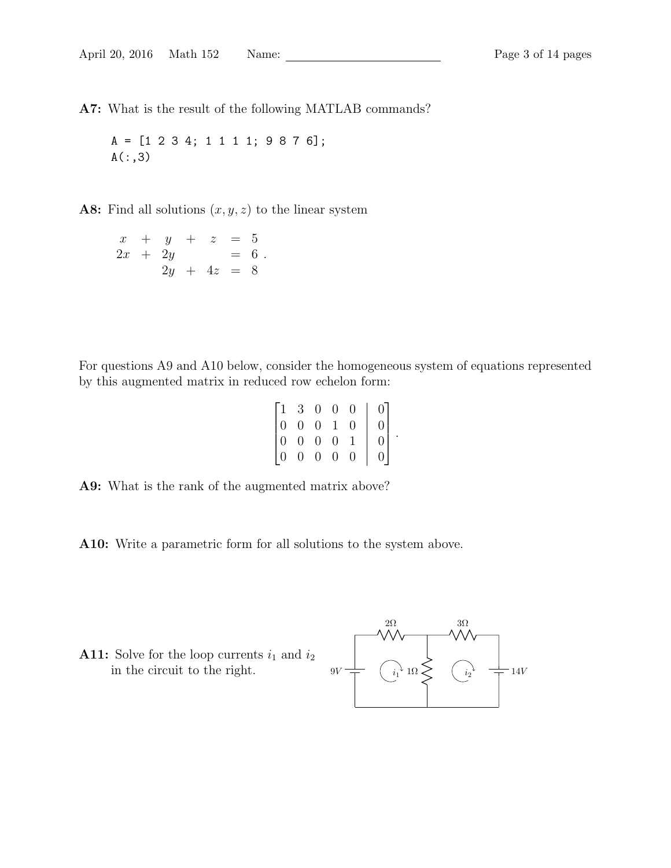A7: What is the result of the following MATLAB commands?

A = [1 2 3 4; 1 1 1 1; 9 8 7 6];  $A(:,3)$ 

A8: Find all solutions  $(x, y, z)$  to the linear system

$$
\begin{array}{rcl}\nx & + & y & + & z & = & 5 \\
2x & + & 2y & = & 6 \\
2y & + & 4z & = & 8\n\end{array}
$$

For questions A9 and A10 below, consider the homogeneous system of equations represented by this augmented matrix in reduced row echelon form:

| $(1 -$         | 3              | $\overline{0}$ | $\overline{0}$ | 0                 | 0              |
|----------------|----------------|----------------|----------------|-------------------|----------------|
| $\overline{0}$ | $\overline{0}$ | $\overline{0}$ | $\mathbf{1}$   | 0                 | $\overline{0}$ |
| $\overline{0}$ | $\overline{0}$ | $\overline{0}$ | $\overline{0}$ | 1                 | $\overline{0}$ |
| $\Omega$       | 0              | $\overline{0}$ | $\overline{0}$ | $\mathbf{\Omega}$ | $\overline{0}$ |

.

A9: What is the rank of the augmented matrix above?

A10: Write a parametric form for all solutions to the system above.

**A11:** Solve for the loop currents  $i_1$  and  $i_2$ in the circuit to the right.

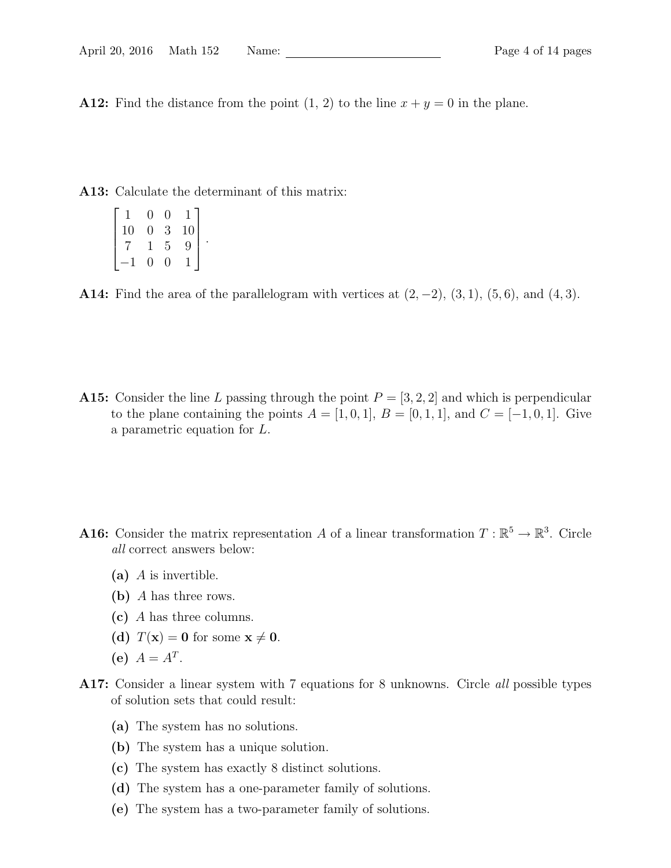A12: Find the distance from the point  $(1, 2)$  to the line  $x + y = 0$  in the plane.

A13: Calculate the determinant of this matrix:

|    | O | 0 |    |  |
|----|---|---|----|--|
| 10 | 0 | 3 | 10 |  |
|    |   | 5 | 9  |  |
|    | 0 | 0 |    |  |

A14: Find the area of the parallelogram with vertices at  $(2, -2)$ ,  $(3, 1)$ ,  $(5, 6)$ , and  $(4, 3)$ .

A15: Consider the line L passing through the point  $P = \{3, 2, 2\}$  and which is perpendicular to the plane containing the points  $A = [1, 0, 1], B = [0, 1, 1],$  and  $C = [-1, 0, 1].$  Give a parametric equation for L.

- **A16:** Consider the matrix representation A of a linear transformation  $T : \mathbb{R}^5 \to \mathbb{R}^3$ . Circle all correct answers below:
	- (a)  $\overline{A}$  is invertible.
	- (b) A has three rows.
	- (c) A has three columns.
	- (d)  $T(\mathbf{x}) = \mathbf{0}$  for some  $\mathbf{x} \neq \mathbf{0}$ .
	- (e)  $A = A^T$ .
- A17: Consider a linear system with 7 equations for 8 unknowns. Circle all possible types of solution sets that could result:
	- (a) The system has no solutions.
	- (b) The system has a unique solution.
	- (c) The system has exactly 8 distinct solutions.
	- (d) The system has a one-parameter family of solutions.
	- (e) The system has a two-parameter family of solutions.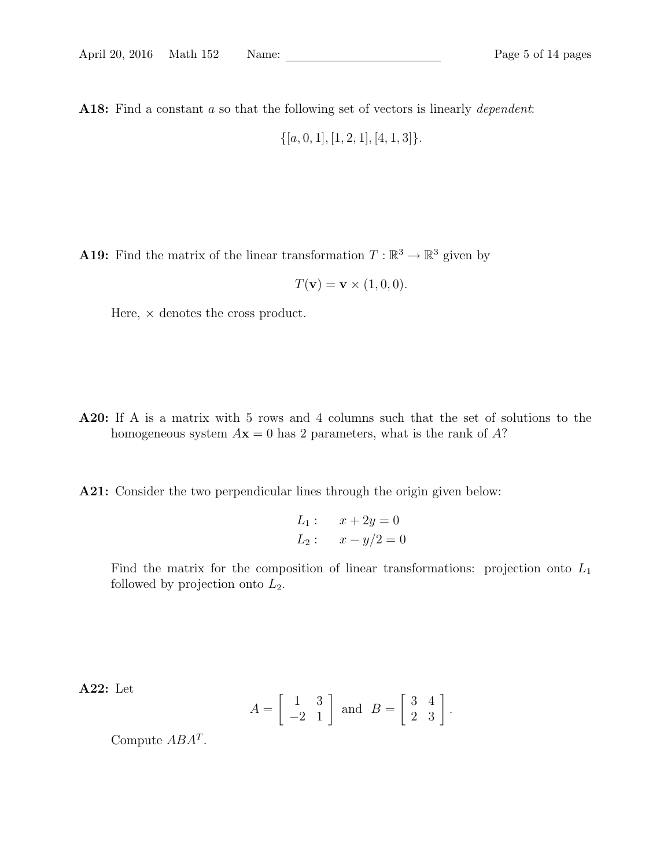A18: Find a constant a so that the following set of vectors is linearly *dependent*:

 $\{[a, 0, 1], [1, 2, 1], [4, 1, 3]\}.$ 

**A19:** Find the matrix of the linear transformation  $T : \mathbb{R}^3 \to \mathbb{R}^3$  given by

$$
T(\mathbf{v}) = \mathbf{v} \times (1,0,0).
$$

Here,  $\times$  denotes the cross product.

- A20: If A is a matrix with 5 rows and 4 columns such that the set of solutions to the homogeneous system  $A\mathbf{x} = 0$  has 2 parameters, what is the rank of A?
- A21: Consider the two perpendicular lines through the origin given below:

$$
L_1: \quad x + 2y = 0
$$
  

$$
L_2: \quad x - y/2 = 0
$$

Find the matrix for the composition of linear transformations: projection onto  $L_1$ followed by projection onto  $L_2$ .

A22: Let

$$
A = \left[ \begin{array}{cc} 1 & 3 \\ -2 & 1 \end{array} \right] \text{ and } B = \left[ \begin{array}{cc} 3 & 4 \\ 2 & 3 \end{array} \right].
$$

Compute  $ABA^T$ .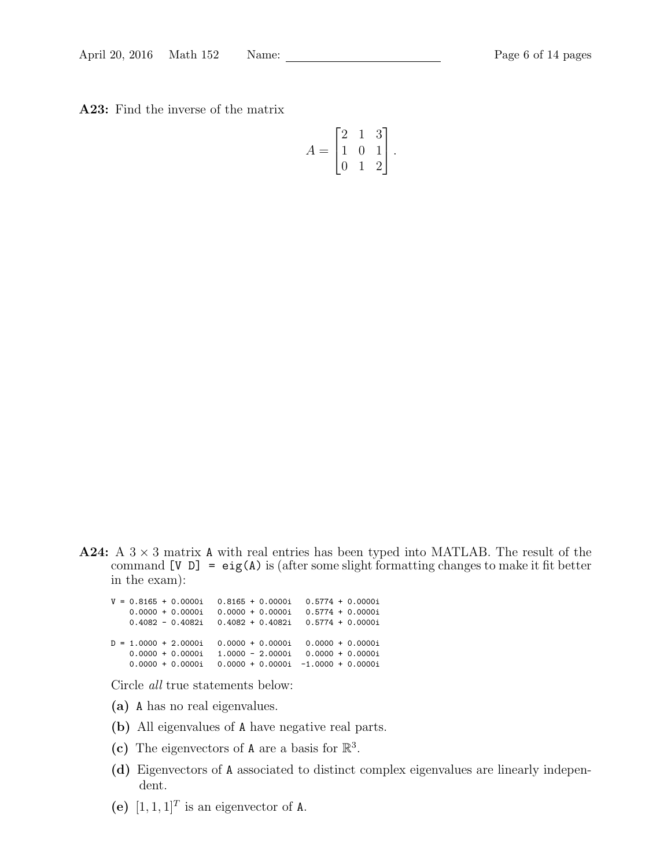A23: Find the inverse of the matrix

$$
A = \begin{bmatrix} 2 & 1 & 3 \\ 1 & 0 & 1 \\ 0 & 1 & 2 \end{bmatrix}.
$$

**A24:** A  $3 \times 3$  matrix A with real entries has been typed into MATLAB. The result of the command  $[V \ D] = eig(A)$  is (after some slight formatting changes to make it fit better in the exam):

|  |  | $V = 0.8165 + 0.0000i$ |  | $0.8165 + 0.0000i$ | $0.5774 + 0.0000i$                    |                    |
|--|--|------------------------|--|--------------------|---------------------------------------|--------------------|
|  |  | $0.0000 + 0.0000i$     |  | $0.0000 + 0.0000i$ |                                       | $0.5774 + 0.0000i$ |
|  |  | $0.4082 - 0.4082i$     |  | $0.4082 + 0.4082i$ | $0.5774 + 0.0000i$                    |                    |
|  |  |                        |  |                    |                                       |                    |
|  |  | $D = 1.0000 + 2.0000i$ |  |                    | $0.0000 + 0.0000i$ 0.0000 + 0.0000i   |                    |
|  |  | $0.0000 + 0.0000i$     |  |                    | $1.0000 - 2.0000i - 0.0000 + 0.0000i$ |                    |
|  |  | $0.0000 + 0.0000i$     |  |                    | $0.0000 + 0.0000i -1.0000 + 0.0000i$  |                    |
|  |  |                        |  |                    |                                       |                    |

Circle all true statements below:

- (a) A has no real eigenvalues.
- (b) All eigenvalues of A have negative real parts.
- (c) The eigenvectors of A are a basis for  $\mathbb{R}^3$ .
- (d) Eigenvectors of A associated to distinct complex eigenvalues are linearly independent.
- (e)  $[1, 1, 1]^T$  is an eigenvector of A.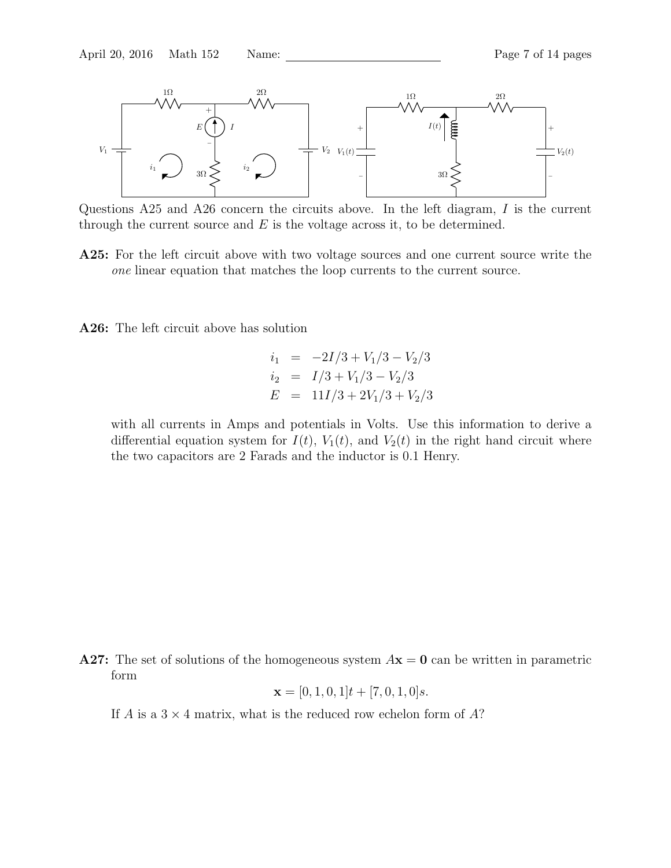

Questions A25 and A26 concern the circuits above. In the left diagram, I is the current through the current source and  $E$  is the voltage across it, to be determined.

A25: For the left circuit above with two voltage sources and one current source write the one linear equation that matches the loop currents to the current source.

A26: The left circuit above has solution

$$
i_1 = -2I/3 + V_1/3 - V_2/3
$$
  
\n
$$
i_2 = I/3 + V_1/3 - V_2/3
$$
  
\n
$$
E = 11I/3 + 2V_1/3 + V_2/3
$$

with all currents in Amps and potentials in Volts. Use this information to derive a differential equation system for  $I(t)$ ,  $V_1(t)$ , and  $V_2(t)$  in the right hand circuit where the two capacitors are 2 Farads and the inductor is 0.1 Henry.

A27: The set of solutions of the homogeneous system  $A\mathbf{x} = \mathbf{0}$  can be written in parametric form

$$
\mathbf{x} = [0, 1, 0, 1]t + [7, 0, 1, 0]s.
$$

If A is a  $3 \times 4$  matrix, what is the reduced row echelon form of A?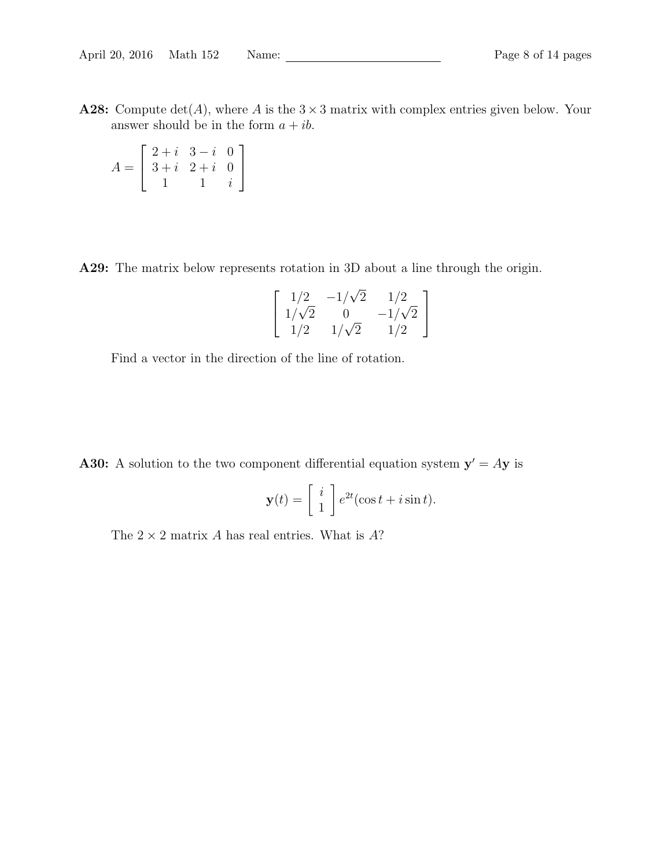A28: Compute  $\det(A)$ , where A is the  $3 \times 3$  matrix with complex entries given below. Your answer should be in the form  $a + ib$ .

$$
A = \left[ \begin{array}{rrr} 2+i & 3-i & 0 \\ 3+i & 2+i & 0 \\ 1 & 1 & i \end{array} \right]
$$

A29: The matrix below represents rotation in 3D about a line through the origin.

$$
\begin{bmatrix} 1/2 & -1/\sqrt{2} & 1/2 \\ 1/\sqrt{2} & 0 & -1/\sqrt{2} \\ 1/2 & 1/\sqrt{2} & 1/2 \end{bmatrix}
$$

Find a vector in the direction of the line of rotation.

**A30:** A solution to the two component differential equation system  $y' = Ay$  is

$$
\mathbf{y}(t) = \begin{bmatrix} i \\ 1 \end{bmatrix} e^{2t} (\cos t + i \sin t).
$$

The  $2 \times 2$  matrix A has real entries. What is A?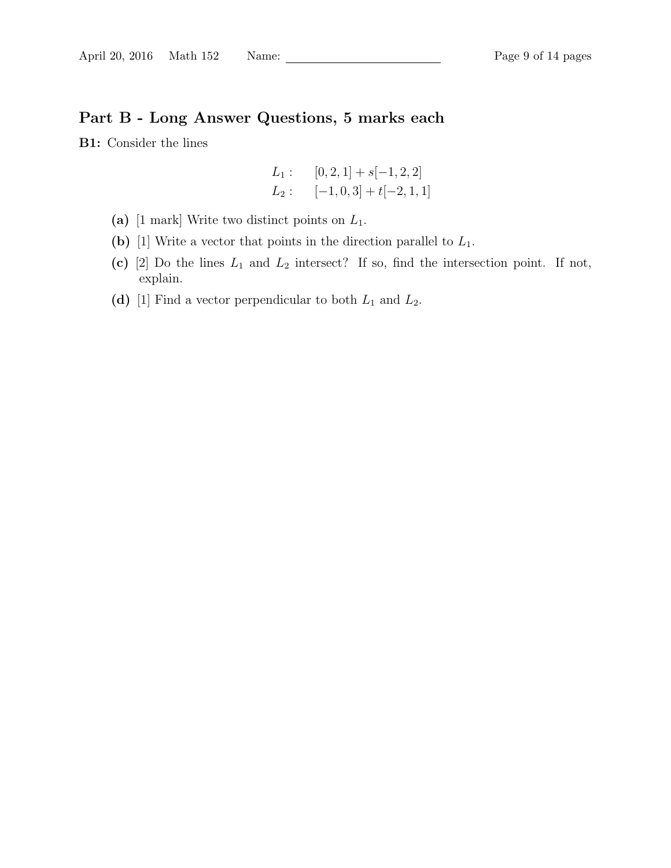# Part B - Long Answer Questions, 5 marks each

B1: Consider the lines

$$
L_1: \t[0,2,1] + s[-1,2,2]
$$
  

$$
L_2: \t[-1,0,3] + t[-2,1,1]
$$

- (a) [1 mark] Write two distinct points on  $L_1$ .
- (b) [1] Write a vector that points in the direction parallel to  $L_1$ .
- (c) [2] Do the lines  $L_1$  and  $L_2$  intersect? If so, find the intersection point. If not, explain.
- (d) [1] Find a vector perpendicular to both  $L_1$  and  $L_2$ .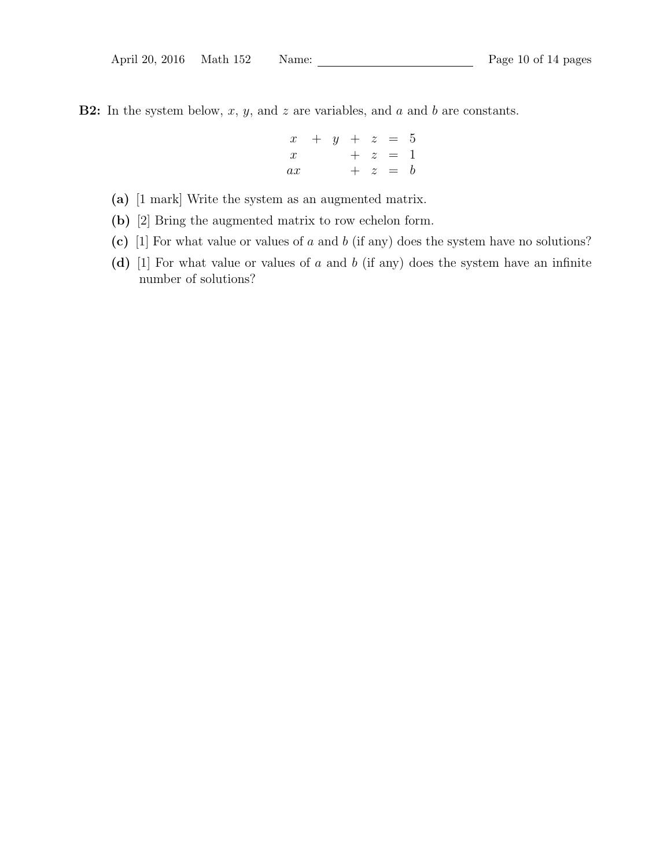**B2:** In the system below,  $x$ ,  $y$ , and  $z$  are variables, and  $a$  and  $b$  are constants.

$$
\begin{array}{rcl}\nx & + & y & + & z & = & 5 \\
x & & + & z & = & 1 \\
ax & & + & z & = & b\n\end{array}
$$

- (a) [1 mark] Write the system as an augmented matrix.
- (b) [2] Bring the augmented matrix to row echelon form.
- (c) [1] For what value or values of  $a$  and  $b$  (if any) does the system have no solutions?
- (d) [1] For what value or values of  $a$  and  $b$  (if any) does the system have an infinite number of solutions?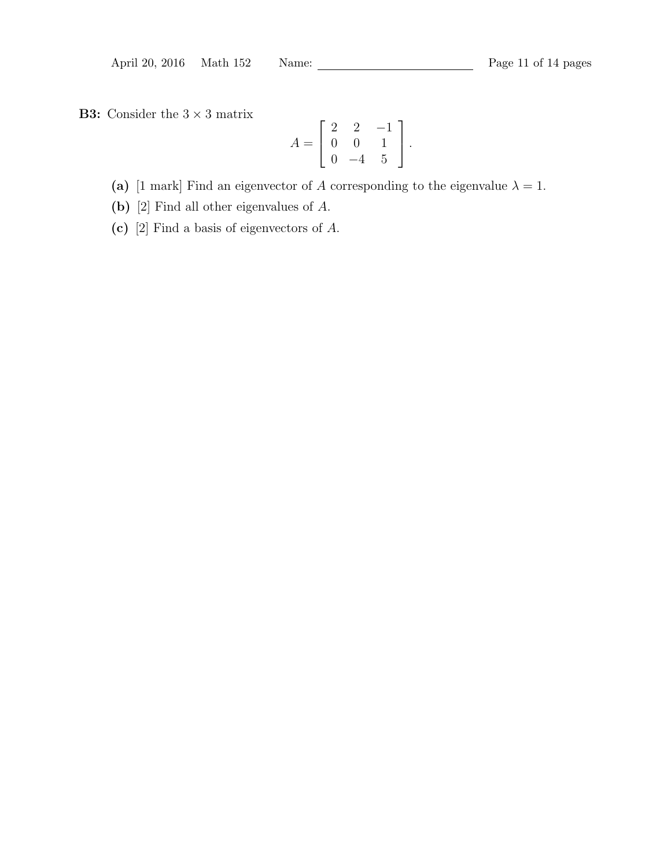**B3:** Consider the  $3 \times 3$  matrix

$$
A = \left[ \begin{array}{rrr} 2 & 2 & -1 \\ 0 & 0 & 1 \\ 0 & -4 & 5 \end{array} \right].
$$

(a) [1 mark] Find an eigenvector of A corresponding to the eigenvalue  $\lambda = 1$ .

(b) [2] Find all other eigenvalues of A.

(c) [2] Find a basis of eigenvectors of A.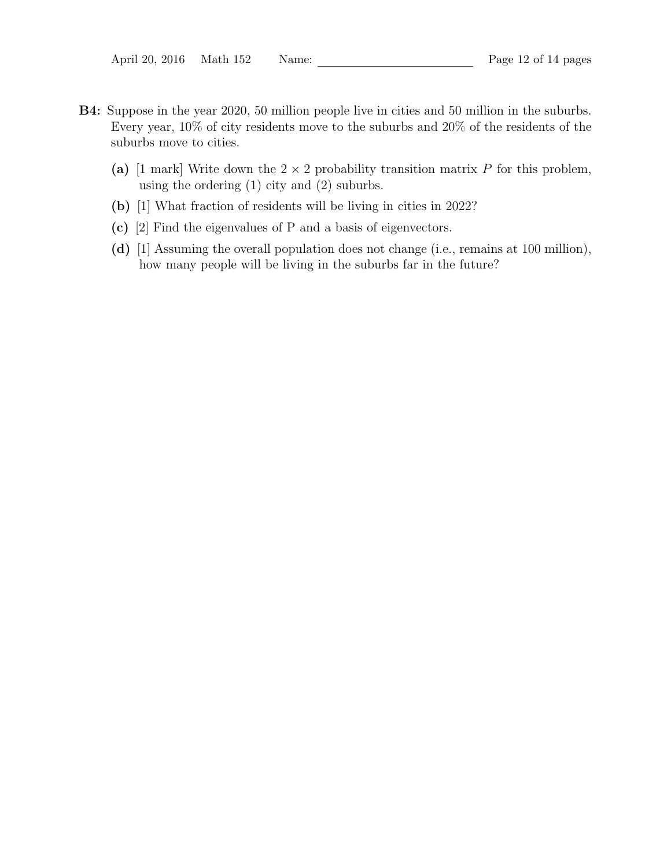- B4: Suppose in the year 2020, 50 million people live in cities and 50 million in the suburbs. Every year, 10% of city residents move to the suburbs and 20% of the residents of the suburbs move to cities.
	- (a) [1 mark] Write down the  $2 \times 2$  probability transition matrix P for this problem, using the ordering (1) city and (2) suburbs.
	- (b) [1] What fraction of residents will be living in cities in 2022?
	- (c) [2] Find the eigenvalues of P and a basis of eigenvectors.
	- (d) [1] Assuming the overall population does not change (i.e., remains at 100 million), how many people will be living in the suburbs far in the future?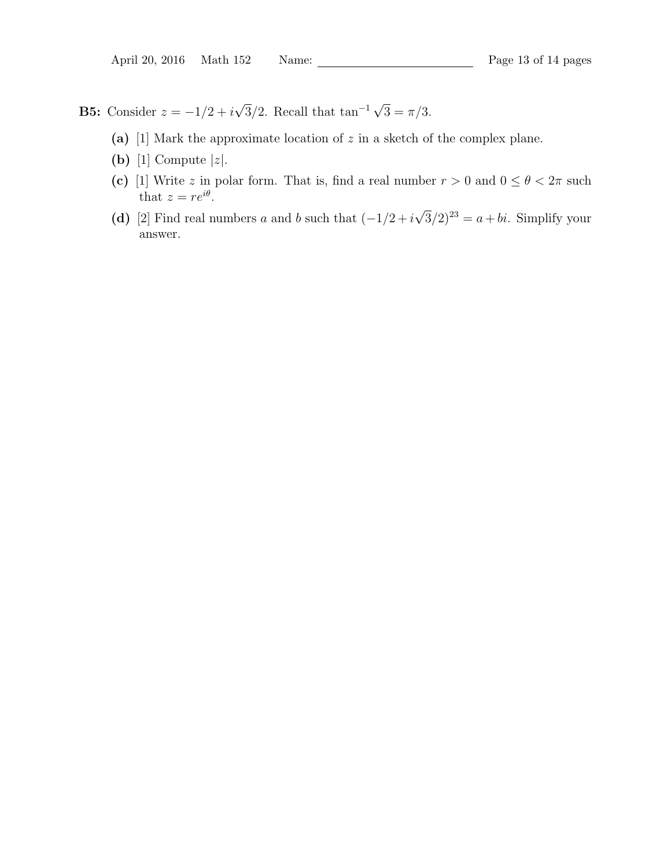**B5:** Consider  $z = -1/2 + i$ √  $\overline{3}/2$ . Recall that tan<sup>-1</sup> √  $3 = \pi/3$ .

- (a) [1] Mark the approximate location of  $z$  in a sketch of the complex plane.
- (b) [1] Compute  $|z|$ .
- (c) [1] Write z in polar form. That is, find a real number  $r > 0$  and  $0 \le \theta < 2\pi$  such that  $z = re^{i\theta}$ . √
- (d) [2] Find real numbers a and b such that  $(-1/2 + i$  $\overline{3}/2)^{23} = a + bi$ . Simplify your answer.